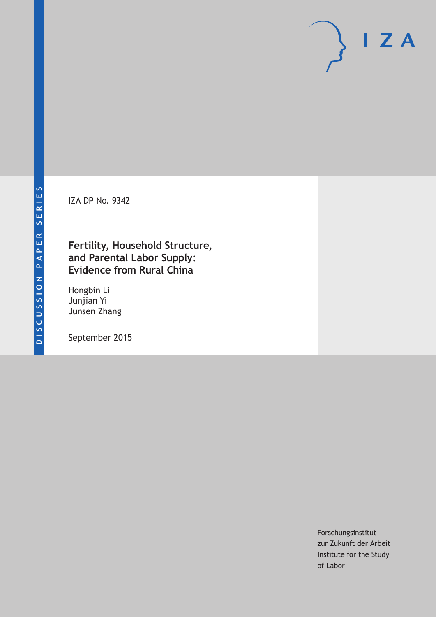IZA DP No. 9342

# **Fertility, Household Structure, and Parental Labor Supply: Evidence from Rural China**

Hongbin Li Junjian Yi Junsen Zhang

September 2015

Forschungsinstitut zur Zukunft der Arbeit Institute for the Study of Labor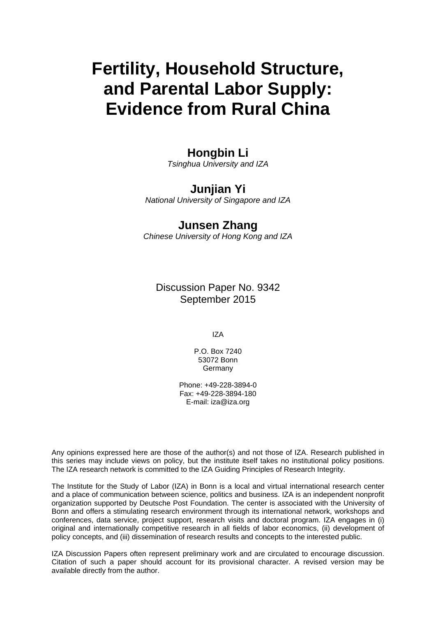# **Fertility, Household Structure, and Parental Labor Supply: Evidence from Rural China**

## **Hongbin Li**

*Tsinghua University and IZA* 

# **Junjian Yi**

*National University of Singapore and IZA* 

### **Junsen Zhang**

*Chinese University of Hong Kong and IZA*

Discussion Paper No. 9342 September 2015

IZA

P.O. Box 7240 53072 Bonn **Germany** 

Phone: +49-228-3894-0 Fax: +49-228-3894-180 E-mail: iza@iza.org

Any opinions expressed here are those of the author(s) and not those of IZA. Research published in this series may include views on policy, but the institute itself takes no institutional policy positions. The IZA research network is committed to the IZA Guiding Principles of Research Integrity.

The Institute for the Study of Labor (IZA) in Bonn is a local and virtual international research center and a place of communication between science, politics and business. IZA is an independent nonprofit organization supported by Deutsche Post Foundation. The center is associated with the University of Bonn and offers a stimulating research environment through its international network, workshops and conferences, data service, project support, research visits and doctoral program. IZA engages in (i) original and internationally competitive research in all fields of labor economics, (ii) development of policy concepts, and (iii) dissemination of research results and concepts to the interested public.

IZA Discussion Papers often represent preliminary work and are circulated to encourage discussion. Citation of such a paper should account for its provisional character. A revised version may be available directly from the author.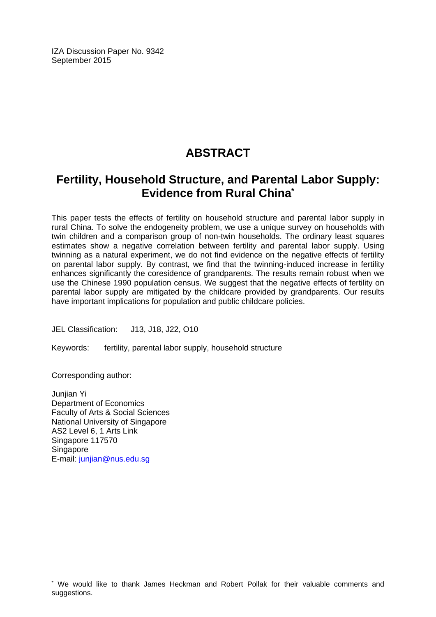IZA Discussion Paper No. 9342 September 2015

# **ABSTRACT**

# **Fertility, Household Structure, and Parental Labor Supply: Evidence from Rural China\***

This paper tests the effects of fertility on household structure and parental labor supply in rural China. To solve the endogeneity problem, we use a unique survey on households with twin children and a comparison group of non-twin households. The ordinary least squares estimates show a negative correlation between fertility and parental labor supply. Using twinning as a natural experiment, we do not find evidence on the negative effects of fertility on parental labor supply. By contrast, we find that the twinning-induced increase in fertility enhances significantly the coresidence of grandparents. The results remain robust when we use the Chinese 1990 population census. We suggest that the negative effects of fertility on parental labor supply are mitigated by the childcare provided by grandparents. Our results have important implications for population and public childcare policies.

JEL Classification: J13, J18, J22, O10

Keywords: fertility, parental labor supply, household structure

Corresponding author:

 $\overline{\phantom{a}}$ 

Junjian Yi Department of Economics Faculty of Arts & Social Sciences National University of Singapore AS2 Level 6, 1 Arts Link Singapore 117570 Singapore E-mail: junjian@nus.edu.sg

<sup>\*</sup> We would like to thank James Heckman and Robert Pollak for their valuable comments and suggestions.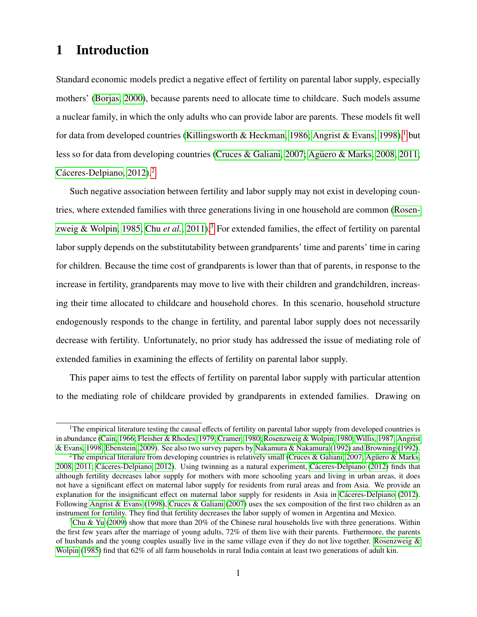# 1 Introduction

Standard economic models predict a negative effect of fertility on parental labor supply, especially mothers' [\(Borjas, 2000\)](#page-21-0), because parents need to allocate time to childcare. Such models assume a nuclear family, in which the only adults who can provide labor are parents. These models fit well for data from developed countries [\(Killingsworth & Heckman, 1986;](#page-22-0) [Angrist & Evans, 1998\)](#page-21-1),<sup>[1](#page-3-0)</sup> but less so for data from developing countries [\(Cruces & Galiani, 2007;](#page-22-1) Agüero & Marks, 2008, [2011;](#page-21-3) Cáceres-Delpiano, [2](#page-3-1)012).<sup>2</sup>

Such negative association between fertility and labor supply may not exist in developing countries, where extended families with three generations living in one household are common [\(Rosen](#page-23-0)[zweig & Wolpin, 1985;](#page-23-0) Chu *[et al.](#page-21-5)*, [2011\)](#page-21-5).<sup>[3](#page-3-2)</sup> For extended families, the effect of fertility on parental labor supply depends on the substitutability between grandparents' time and parents' time in caring for children. Because the time cost of grandparents is lower than that of parents, in response to the increase in fertility, grandparents may move to live with their children and grandchildren, increasing their time allocated to childcare and household chores. In this scenario, household structure endogenously responds to the change in fertility, and parental labor supply does not necessarily decrease with fertility. Unfortunately, no prior study has addressed the issue of mediating role of extended families in examining the effects of fertility on parental labor supply.

This paper aims to test the effects of fertility on parental labor supply with particular attention to the mediating role of childcare provided by grandparents in extended families. Drawing on

<span id="page-3-0"></span><sup>&</sup>lt;sup>1</sup>The empirical literature testing the causal effects of fertility on parental labor supply from developed countries is in abundance [\(Cain, 1966;](#page-21-6) [Fleisher & Rhodes, 1979;](#page-22-2) [Cramer, 1980;](#page-22-3) [Rosenzweig & Wolpin, 1980;](#page-23-1) [Willis, 1987;](#page-24-0) [Angrist](#page-21-1) [& Evans, 1998;](#page-21-1) [Ebenstein, 2009\)](#page-22-4). See also two survey papers by [Nakamura & Nakamura](#page-23-2) [\(1992\)](#page-23-2) and [Browning](#page-21-7) [\(1992\)](#page-21-7).

<span id="page-3-1"></span><sup>&</sup>lt;sup>2</sup>The empirical literature from developing countries is relatively small [\(Cruces & Galiani, 2007;](#page-22-1) Agüero & Marks, [2008,](#page-21-2) [2011;](#page-21-3) Cáceres-Delpiano, 2012). Using twinning as a natural experiment, Cáceres-Delpiano [\(2012\)](#page-21-4) finds that although fertility decreases labor supply for mothers with more schooling years and living in urban areas, it does not have a significant effect on maternal labor supply for residents from rural areas and from Asia. We provide an explanation for the insignificant effect on maternal labor supply for residents in Asia in Cáceres-Delpiano [\(2012\)](#page-21-4). Following [Angrist & Evans](#page-21-1) [\(1998\)](#page-21-1), [Cruces & Galiani](#page-22-1) [\(2007\)](#page-22-1) uses the sex composition of the first two children as an instrument for fertility. They find that fertility decreases the labor supply of women in Argentina and Mexico.

<span id="page-3-2"></span><sup>&</sup>lt;sup>3</sup>[Chu & Yu](#page-22-5) [\(2009\)](#page-22-5) show that more than 20% of the Chinese rural households live with three generations. Within the first few years after the marriage of young adults, 72% of them live with their parents. Furthermore, the parents of husbands and the young couples usually live in the same village even if they do not live together. [Rosenzweig &](#page-23-0) [Wolpin](#page-23-0) [\(1985\)](#page-23-0) find that 62% of all farm households in rural India contain at least two generations of adult kin.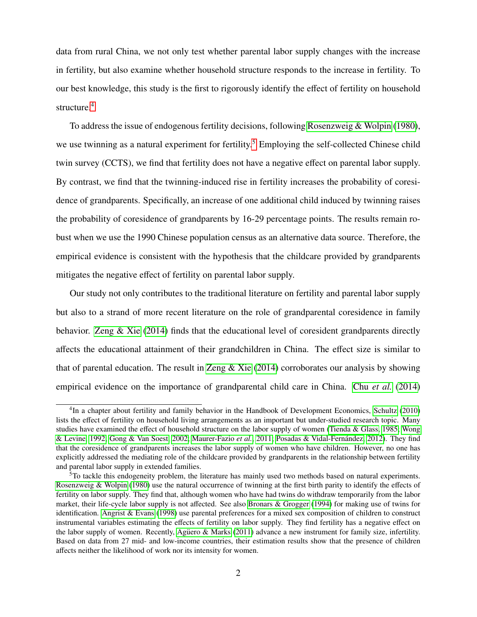data from rural China, we not only test whether parental labor supply changes with the increase in fertility, but also examine whether household structure responds to the increase in fertility. To our best knowledge, this study is the first to rigorously identify the effect of fertility on household structure.<sup>[4](#page-4-0)</sup>

To address the issue of endogenous fertility decisions, following [Rosenzweig & Wolpin](#page-23-1) [\(1980\)](#page-23-1), we use twinning as a natural experiment for fertility.<sup>[5](#page-4-1)</sup> Employing the self-collected Chinese child twin survey (CCTS), we find that fertility does not have a negative effect on parental labor supply. By contrast, we find that the twinning-induced rise in fertility increases the probability of coresidence of grandparents. Specifically, an increase of one additional child induced by twinning raises the probability of coresidence of grandparents by 16-29 percentage points. The results remain robust when we use the 1990 Chinese population census as an alternative data source. Therefore, the empirical evidence is consistent with the hypothesis that the childcare provided by grandparents mitigates the negative effect of fertility on parental labor supply.

Our study not only contributes to the traditional literature on fertility and parental labor supply but also to a strand of more recent literature on the role of grandparental coresidence in family behavior. Zeng  $\&$  Xie [\(2014\)](#page-24-1) finds that the educational level of coresident grandparents directly affects the educational attainment of their grandchildren in China. The effect size is similar to that of parental education. The result in [Zeng & Xie](#page-24-1) [\(2014\)](#page-24-1) corroborates our analysis by showing empirical evidence on the importance of grandparental child care in China. Chu *[et al.](#page-21-8)* [\(2014\)](#page-21-8)

<span id="page-4-0"></span><sup>&</sup>lt;sup>4</sup>In a chapter about fertility and family behavior in the Handbook of Development Economics, [Schultz](#page-24-2) [\(2010\)](#page-24-2) lists the effect of fertility on household living arrangements as an important but under-studied research topic. Many studies have examined the effect of household structure on the labor supply of women [\(Tienda & Glass, 1985;](#page-24-3) [Wong](#page-24-4) [& Levine, 1992;](#page-24-4) [Gong & Van Soest, 2002;](#page-22-6) [Maurer-Fazio](#page-23-3) *et al.*, [2011;](#page-23-3) [Posadas & Vidal-Fernandez, 2012\)](#page-23-4). They find ´ that the coresidence of grandparents increases the labor supply of women who have children. However, no one has explicitly addressed the mediating role of the childcare provided by grandparents in the relationship between fertility and parental labor supply in extended families.

<span id="page-4-1"></span><sup>&</sup>lt;sup>5</sup>To tackle this endogeneity problem, the literature has mainly used two methods based on natural experiments. [Rosenzweig & Wolpin](#page-23-1) [\(1980\)](#page-23-1) use the natural occurrence of twinning at the first birth parity to identify the effects of fertility on labor supply. They find that, although women who have had twins do withdraw temporarily from the labor market, their life-cycle labor supply is not affected. See also [Bronars & Grogger](#page-21-9) [\(1994\)](#page-21-9) for making use of twins for identification. [Angrist & Evans](#page-21-1) [\(1998\)](#page-21-1) use parental preferences for a mixed sex composition of children to construct instrumental variables estimating the effects of fertility on labor supply. They find fertility has a negative effect on the labor supply of women. Recently, Agüero & Marks [\(2011\)](#page-21-3) advance a new instrument for family size, infertility. Based on data from 27 mid- and low-income countries, their estimation results show that the presence of children affects neither the likelihood of work nor its intensity for women.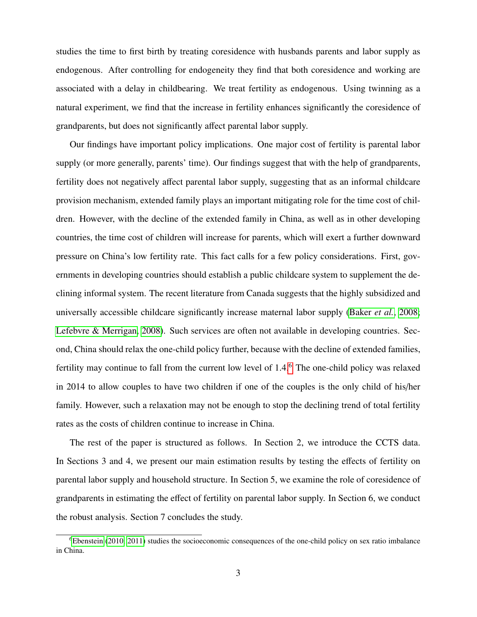studies the time to first birth by treating coresidence with husbands parents and labor supply as endogenous. After controlling for endogeneity they find that both coresidence and working are associated with a delay in childbearing. We treat fertility as endogenous. Using twinning as a natural experiment, we find that the increase in fertility enhances significantly the coresidence of grandparents, but does not significantly affect parental labor supply.

Our findings have important policy implications. One major cost of fertility is parental labor supply (or more generally, parents' time). Our findings suggest that with the help of grandparents, fertility does not negatively affect parental labor supply, suggesting that as an informal childcare provision mechanism, extended family plays an important mitigating role for the time cost of children. However, with the decline of the extended family in China, as well as in other developing countries, the time cost of children will increase for parents, which will exert a further downward pressure on China's low fertility rate. This fact calls for a few policy considerations. First, governments in developing countries should establish a public childcare system to supplement the declining informal system. The recent literature from Canada suggests that the highly subsidized and universally accessible childcare significantly increase maternal labor supply [\(Baker](#page-21-10) *et al.*, [2008;](#page-21-10) [Lefebvre & Merrigan, 2008\)](#page-23-5). Such services are often not available in developing countries. Second, China should relax the one-child policy further, because with the decline of extended families, fertility may continue to fall from the current low level of 1.4.<sup>[6](#page-5-0)</sup> The one-child policy was relaxed in 2014 to allow couples to have two children if one of the couples is the only child of his/her family. However, such a relaxation may not be enough to stop the declining trend of total fertility rates as the costs of children continue to increase in China.

The rest of the paper is structured as follows. In Section 2, we introduce the CCTS data. In Sections 3 and 4, we present our main estimation results by testing the effects of fertility on parental labor supply and household structure. In Section 5, we examine the role of coresidence of grandparents in estimating the effect of fertility on parental labor supply. In Section 6, we conduct the robust analysis. Section 7 concludes the study.

<span id="page-5-0"></span><sup>6</sup>[Ebenstein](#page-22-7) [\(2010,](#page-22-7) [2011\)](#page-22-8) studies the socioeconomic consequences of the one-child policy on sex ratio imbalance in China.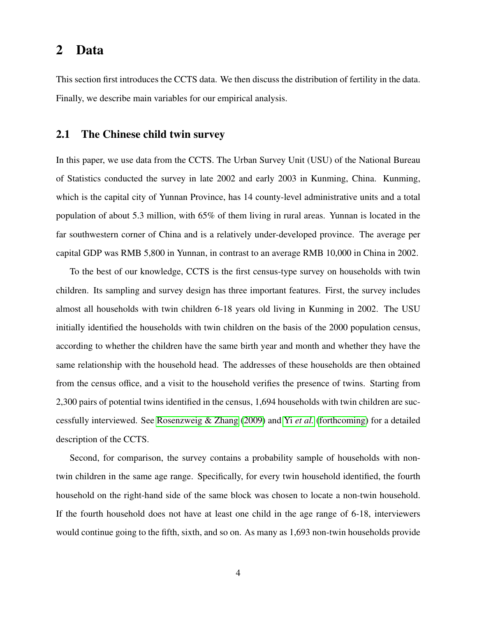### 2 Data

This section first introduces the CCTS data. We then discuss the distribution of fertility in the data. Finally, we describe main variables for our empirical analysis.

#### 2.1 The Chinese child twin survey

In this paper, we use data from the CCTS. The Urban Survey Unit (USU) of the National Bureau of Statistics conducted the survey in late 2002 and early 2003 in Kunming, China. Kunming, which is the capital city of Yunnan Province, has 14 county-level administrative units and a total population of about 5.3 million, with 65% of them living in rural areas. Yunnan is located in the far southwestern corner of China and is a relatively under-developed province. The average per capital GDP was RMB 5,800 in Yunnan, in contrast to an average RMB 10,000 in China in 2002.

To the best of our knowledge, CCTS is the first census-type survey on households with twin children. Its sampling and survey design has three important features. First, the survey includes almost all households with twin children 6-18 years old living in Kunming in 2002. The USU initially identified the households with twin children on the basis of the 2000 population census, according to whether the children have the same birth year and month and whether they have the same relationship with the household head. The addresses of these households are then obtained from the census office, and a visit to the household verifies the presence of twins. Starting from 2,300 pairs of potential twins identified in the census, 1,694 households with twin children are successfully interviewed. See [Rosenzweig & Zhang](#page-23-6) [\(2009\)](#page-23-6) and Yi *[et al.](#page-24-5)* [\(forthcoming\)](#page-24-5) for a detailed description of the CCTS.

Second, for comparison, the survey contains a probability sample of households with nontwin children in the same age range. Specifically, for every twin household identified, the fourth household on the right-hand side of the same block was chosen to locate a non-twin household. If the fourth household does not have at least one child in the age range of 6-18, interviewers would continue going to the fifth, sixth, and so on. As many as 1,693 non-twin households provide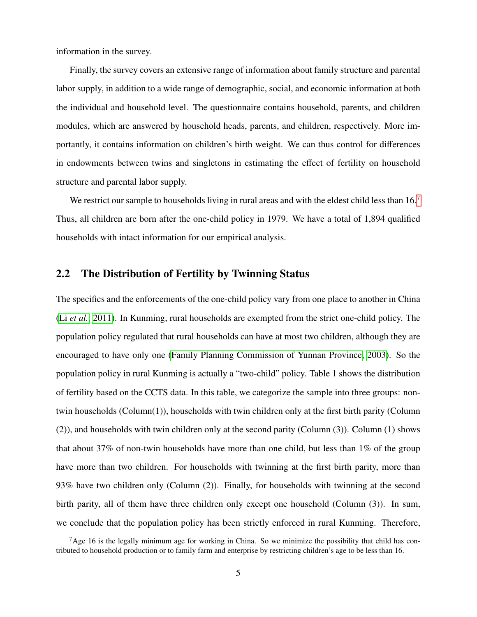information in the survey.

Finally, the survey covers an extensive range of information about family structure and parental labor supply, in addition to a wide range of demographic, social, and economic information at both the individual and household level. The questionnaire contains household, parents, and children modules, which are answered by household heads, parents, and children, respectively. More importantly, it contains information on children's birth weight. We can thus control for differences in endowments between twins and singletons in estimating the effect of fertility on household structure and parental labor supply.

We restrict our sample to households living in rural areas and with the eldest child less than  $16<sup>7</sup>$  $16<sup>7</sup>$  $16<sup>7</sup>$ Thus, all children are born after the one-child policy in 1979. We have a total of 1,894 qualified households with intact information for our empirical analysis.

#### 2.2 The Distribution of Fertility by Twinning Status

The specifics and the enforcements of the one-child policy vary from one place to another in China (Li *[et al.](#page-23-7)*, [2011\)](#page-23-7). In Kunming, rural households are exempted from the strict one-child policy. The population policy regulated that rural households can have at most two children, although they are encouraged to have only one [\(Family Planning Commission of Yunnan Province, 2003\)](#page-22-9). So the population policy in rural Kunming is actually a "two-child" policy. Table 1 shows the distribution of fertility based on the CCTS data. In this table, we categorize the sample into three groups: nontwin households (Column(1)), households with twin children only at the first birth parity (Column (2)), and households with twin children only at the second parity (Column (3)). Column (1) shows that about 37% of non-twin households have more than one child, but less than  $1\%$  of the group have more than two children. For households with twinning at the first birth parity, more than 93% have two children only (Column (2)). Finally, for households with twinning at the second birth parity, all of them have three children only except one household (Column (3)). In sum, we conclude that the population policy has been strictly enforced in rural Kunming. Therefore,

<span id="page-7-0"></span> $7A$ ge 16 is the legally minimum age for working in China. So we minimize the possibility that child has contributed to household production or to family farm and enterprise by restricting children's age to be less than 16.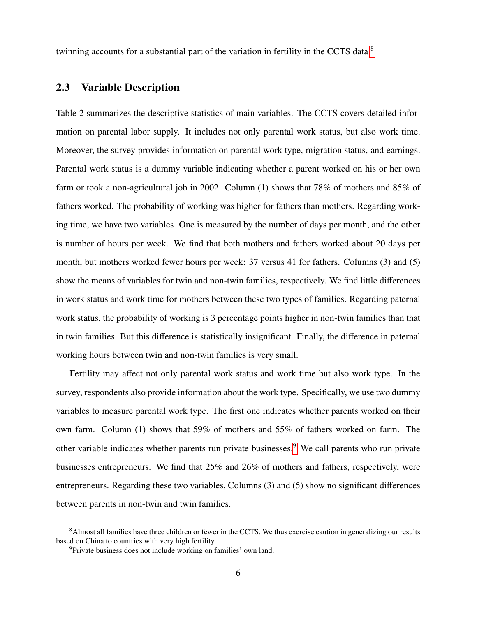twinning accounts for a substantial part of the variation in fertility in the CCTS data.<sup>[8](#page-8-0)</sup>

#### 2.3 Variable Description

Table 2 summarizes the descriptive statistics of main variables. The CCTS covers detailed information on parental labor supply. It includes not only parental work status, but also work time. Moreover, the survey provides information on parental work type, migration status, and earnings. Parental work status is a dummy variable indicating whether a parent worked on his or her own farm or took a non-agricultural job in 2002. Column (1) shows that 78% of mothers and 85% of fathers worked. The probability of working was higher for fathers than mothers. Regarding working time, we have two variables. One is measured by the number of days per month, and the other is number of hours per week. We find that both mothers and fathers worked about 20 days per month, but mothers worked fewer hours per week: 37 versus 41 for fathers. Columns (3) and (5) show the means of variables for twin and non-twin families, respectively. We find little differences in work status and work time for mothers between these two types of families. Regarding paternal work status, the probability of working is 3 percentage points higher in non-twin families than that in twin families. But this difference is statistically insignificant. Finally, the difference in paternal working hours between twin and non-twin families is very small.

Fertility may affect not only parental work status and work time but also work type. In the survey, respondents also provide information about the work type. Specifically, we use two dummy variables to measure parental work type. The first one indicates whether parents worked on their own farm. Column (1) shows that 59% of mothers and 55% of fathers worked on farm. The other variable indicates whether parents run private businesses.<sup>[9](#page-8-1)</sup> We call parents who run private businesses entrepreneurs. We find that 25% and 26% of mothers and fathers, respectively, were entrepreneurs. Regarding these two variables, Columns (3) and (5) show no significant differences between parents in non-twin and twin families.

<span id="page-8-0"></span><sup>&</sup>lt;sup>8</sup>Almost all families have three children or fewer in the CCTS. We thus exercise caution in generalizing our results based on China to countries with very high fertility.

<span id="page-8-1"></span><sup>9</sup>Private business does not include working on families' own land.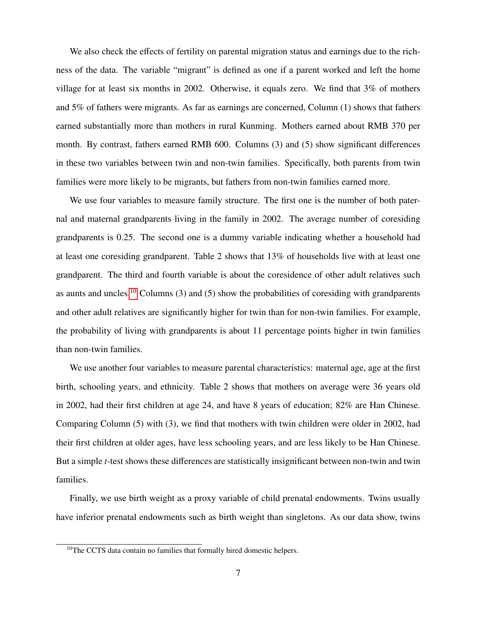We also check the effects of fertility on parental migration status and earnings due to the richness of the data. The variable "migrant" is defined as one if a parent worked and left the home village for at least six months in 2002. Otherwise, it equals zero. We find that 3% of mothers and 5% of fathers were migrants. As far as earnings are concerned, Column (1) shows that fathers earned substantially more than mothers in rural Kunming. Mothers earned about RMB 370 per month. By contrast, fathers earned RMB 600. Columns (3) and (5) show significant differences in these two variables between twin and non-twin families. Specifically, both parents from twin families were more likely to be migrants, but fathers from non-twin families earned more.

We use four variables to measure family structure. The first one is the number of both paternal and maternal grandparents living in the family in 2002. The average number of coresiding grandparents is 0.25. The second one is a dummy variable indicating whether a household had at least one coresiding grandparent. Table 2 shows that 13% of households live with at least one grandparent. The third and fourth variable is about the coresidence of other adult relatives such as aunts and uncles.<sup>[10](#page-9-0)</sup> Columns (3) and (5) show the probabilities of coresiding with grandparents and other adult relatives are significantly higher for twin than for non-twin families. For example, the probability of living with grandparents is about 11 percentage points higher in twin families than non-twin families.

We use another four variables to measure parental characteristics: maternal age, age at the first birth, schooling years, and ethnicity. Table 2 shows that mothers on average were 36 years old in 2002, had their first children at age 24, and have 8 years of education; 82% are Han Chinese. Comparing Column (5) with (3), we find that mothers with twin children were older in 2002, had their first children at older ages, have less schooling years, and are less likely to be Han Chinese. But a simple *t*-test shows these differences are statistically insignificant between non-twin and twin families.

Finally, we use birth weight as a proxy variable of child prenatal endowments. Twins usually have inferior prenatal endowments such as birth weight than singletons. As our data show, twins

<span id="page-9-0"></span> $10$ The CCTS data contain no families that formally hired domestic helpers.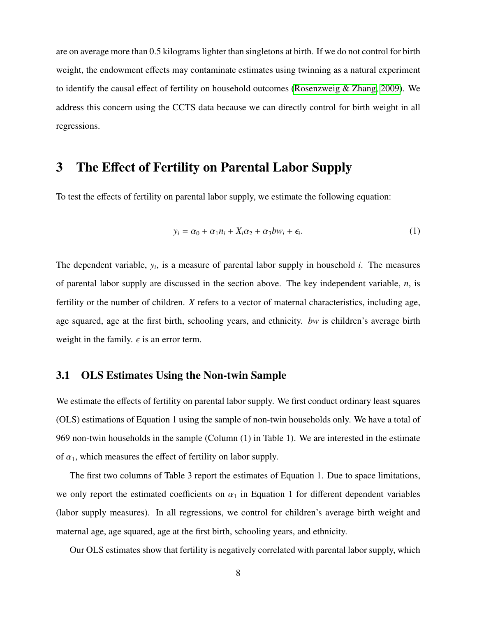are on average more than 0.5 kilograms lighter than singletons at birth. If we do not control for birth weight, the endowment effects may contaminate estimates using twinning as a natural experiment to identify the causal effect of fertility on household outcomes [\(Rosenzweig & Zhang, 2009\)](#page-23-6). We address this concern using the CCTS data because we can directly control for birth weight in all regressions.

### 3 The Effect of Fertility on Parental Labor Supply

To test the effects of fertility on parental labor supply, we estimate the following equation:

$$
y_i = \alpha_0 + \alpha_1 n_i + X_i \alpha_2 + \alpha_3 b w_i + \epsilon_i.
$$
 (1)

The dependent variable, *y<sup>i</sup>* , is a measure of parental labor supply in household *i*. The measures of parental labor supply are discussed in the section above. The key independent variable, *n*, is fertility or the number of children. *X* refers to a vector of maternal characteristics, including age, age squared, age at the first birth, schooling years, and ethnicity. *bw* is children's average birth weight in the family.  $\epsilon$  is an error term.

#### 3.1 OLS Estimates Using the Non-twin Sample

We estimate the effects of fertility on parental labor supply. We first conduct ordinary least squares (OLS) estimations of Equation 1 using the sample of non-twin households only. We have a total of 969 non-twin households in the sample (Column (1) in Table 1). We are interested in the estimate of  $\alpha_1$ , which measures the effect of fertility on labor supply.

The first two columns of Table 3 report the estimates of Equation 1. Due to space limitations, we only report the estimated coefficients on  $\alpha_1$  in Equation 1 for different dependent variables (labor supply measures). In all regressions, we control for children's average birth weight and maternal age, age squared, age at the first birth, schooling years, and ethnicity.

Our OLS estimates show that fertility is negatively correlated with parental labor supply, which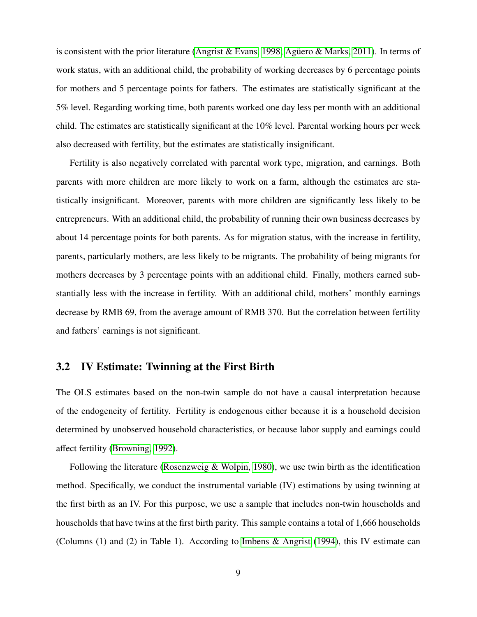is consistent with the prior literature [\(Angrist & Evans, 1998;](#page-21-1) Agüero & Marks, 2011). In terms of work status, with an additional child, the probability of working decreases by 6 percentage points for mothers and 5 percentage points for fathers. The estimates are statistically significant at the 5% level. Regarding working time, both parents worked one day less per month with an additional child. The estimates are statistically significant at the 10% level. Parental working hours per week also decreased with fertility, but the estimates are statistically insignificant.

Fertility is also negatively correlated with parental work type, migration, and earnings. Both parents with more children are more likely to work on a farm, although the estimates are statistically insignificant. Moreover, parents with more children are significantly less likely to be entrepreneurs. With an additional child, the probability of running their own business decreases by about 14 percentage points for both parents. As for migration status, with the increase in fertility, parents, particularly mothers, are less likely to be migrants. The probability of being migrants for mothers decreases by 3 percentage points with an additional child. Finally, mothers earned substantially less with the increase in fertility. With an additional child, mothers' monthly earnings decrease by RMB 69, from the average amount of RMB 370. But the correlation between fertility and fathers' earnings is not significant.

#### 3.2 IV Estimate: Twinning at the First Birth

The OLS estimates based on the non-twin sample do not have a causal interpretation because of the endogeneity of fertility. Fertility is endogenous either because it is a household decision determined by unobserved household characteristics, or because labor supply and earnings could affect fertility [\(Browning, 1992\)](#page-21-7).

Following the literature [\(Rosenzweig & Wolpin, 1980\)](#page-23-1), we use twin birth as the identification method. Specifically, we conduct the instrumental variable (IV) estimations by using twinning at the first birth as an IV. For this purpose, we use a sample that includes non-twin households and households that have twins at the first birth parity. This sample contains a total of 1,666 households (Columns (1) and (2) in Table 1). According to [Imbens & Angrist](#page-22-10) [\(1994\)](#page-22-10), this IV estimate can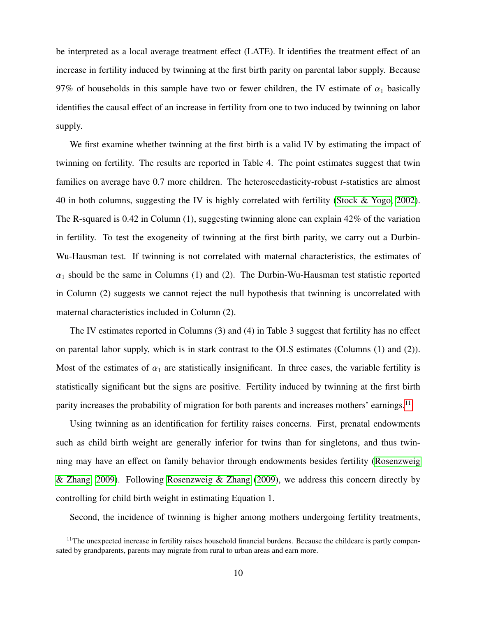be interpreted as a local average treatment effect (LATE). It identifies the treatment effect of an increase in fertility induced by twinning at the first birth parity on parental labor supply. Because 97% of households in this sample have two or fewer children, the IV estimate of  $\alpha_1$  basically identifies the causal effect of an increase in fertility from one to two induced by twinning on labor supply.

We first examine whether twinning at the first birth is a valid IV by estimating the impact of twinning on fertility. The results are reported in Table 4. The point estimates suggest that twin families on average have 0.7 more children. The heteroscedasticity-robust *t*-statistics are almost 40 in both columns, suggesting the IV is highly correlated with fertility [\(Stock & Yogo, 2002\)](#page-24-6). The R-squared is 0.42 in Column  $(1)$ , suggesting twinning alone can explain  $42\%$  of the variation in fertility. To test the exogeneity of twinning at the first birth parity, we carry out a Durbin-Wu-Hausman test. If twinning is not correlated with maternal characteristics, the estimates of  $\alpha_1$  should be the same in Columns (1) and (2). The Durbin-Wu-Hausman test statistic reported in Column (2) suggests we cannot reject the null hypothesis that twinning is uncorrelated with maternal characteristics included in Column (2).

The IV estimates reported in Columns (3) and (4) in Table 3 suggest that fertility has no effect on parental labor supply, which is in stark contrast to the OLS estimates (Columns (1) and (2)). Most of the estimates of  $\alpha_1$  are statistically insignificant. In three cases, the variable fertility is statistically significant but the signs are positive. Fertility induced by twinning at the first birth parity increases the probability of migration for both parents and increases mothers' earnings.<sup>[11](#page-12-0)</sup>

Using twinning as an identification for fertility raises concerns. First, prenatal endowments such as child birth weight are generally inferior for twins than for singletons, and thus twinning may have an effect on family behavior through endowments besides fertility [\(Rosenzweig](#page-23-6) [& Zhang, 2009\)](#page-23-6). Following [Rosenzweig & Zhang](#page-23-6) [\(2009\)](#page-23-6), we address this concern directly by controlling for child birth weight in estimating Equation 1.

Second, the incidence of twinning is higher among mothers undergoing fertility treatments,

<span id="page-12-0"></span> $11$ The unexpected increase in fertility raises household financial burdens. Because the childcare is partly compensated by grandparents, parents may migrate from rural to urban areas and earn more.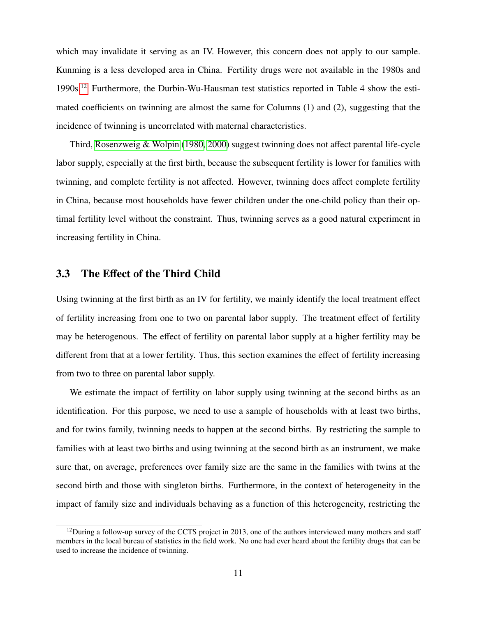which may invalidate it serving as an IV. However, this concern does not apply to our sample. Kunming is a less developed area in China. Fertility drugs were not available in the 1980s and 1990s.[12](#page-13-0) Furthermore, the Durbin-Wu-Hausman test statistics reported in Table 4 show the estimated coefficients on twinning are almost the same for Columns (1) and (2), suggesting that the incidence of twinning is uncorrelated with maternal characteristics.

Third, [Rosenzweig & Wolpin](#page-23-1) [\(1980,](#page-23-1) [2000\)](#page-23-8) suggest twinning does not affect parental life-cycle labor supply, especially at the first birth, because the subsequent fertility is lower for families with twinning, and complete fertility is not affected. However, twinning does affect complete fertility in China, because most households have fewer children under the one-child policy than their optimal fertility level without the constraint. Thus, twinning serves as a good natural experiment in increasing fertility in China.

#### 3.3 The Effect of the Third Child

Using twinning at the first birth as an IV for fertility, we mainly identify the local treatment effect of fertility increasing from one to two on parental labor supply. The treatment effect of fertility may be heterogenous. The effect of fertility on parental labor supply at a higher fertility may be different from that at a lower fertility. Thus, this section examines the effect of fertility increasing from two to three on parental labor supply.

We estimate the impact of fertility on labor supply using twinning at the second births as an identification. For this purpose, we need to use a sample of households with at least two births, and for twins family, twinning needs to happen at the second births. By restricting the sample to families with at least two births and using twinning at the second birth as an instrument, we make sure that, on average, preferences over family size are the same in the families with twins at the second birth and those with singleton births. Furthermore, in the context of heterogeneity in the impact of family size and individuals behaving as a function of this heterogeneity, restricting the

<span id="page-13-0"></span> $12$ During a follow-up survey of the CCTS project in 2013, one of the authors interviewed many mothers and staff members in the local bureau of statistics in the field work. No one had ever heard about the fertility drugs that can be used to increase the incidence of twinning.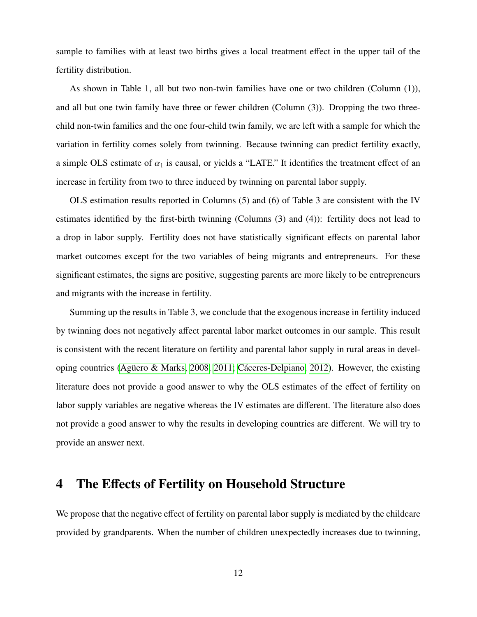sample to families with at least two births gives a local treatment effect in the upper tail of the fertility distribution.

As shown in Table 1, all but two non-twin families have one or two children (Column (1)), and all but one twin family have three or fewer children (Column (3)). Dropping the two threechild non-twin families and the one four-child twin family, we are left with a sample for which the variation in fertility comes solely from twinning. Because twinning can predict fertility exactly, a simple OLS estimate of  $\alpha_1$  is causal, or yields a "LATE." It identifies the treatment effect of an increase in fertility from two to three induced by twinning on parental labor supply.

OLS estimation results reported in Columns (5) and (6) of Table 3 are consistent with the IV estimates identified by the first-birth twinning (Columns (3) and (4)): fertility does not lead to a drop in labor supply. Fertility does not have statistically significant effects on parental labor market outcomes except for the two variables of being migrants and entrepreneurs. For these significant estimates, the signs are positive, suggesting parents are more likely to be entrepreneurs and migrants with the increase in fertility.

Summing up the results in Table 3, we conclude that the exogenous increase in fertility induced by twinning does not negatively affect parental labor market outcomes in our sample. This result is consistent with the recent literature on fertility and parental labor supply in rural areas in devel-oping countries (Agüero & Marks, 2008, [2011;](#page-21-3) Cáceres-Delpiano, 2012). However, the existing literature does not provide a good answer to why the OLS estimates of the effect of fertility on labor supply variables are negative whereas the IV estimates are different. The literature also does not provide a good answer to why the results in developing countries are different. We will try to provide an answer next.

### 4 The Effects of Fertility on Household Structure

We propose that the negative effect of fertility on parental labor supply is mediated by the childcare provided by grandparents. When the number of children unexpectedly increases due to twinning,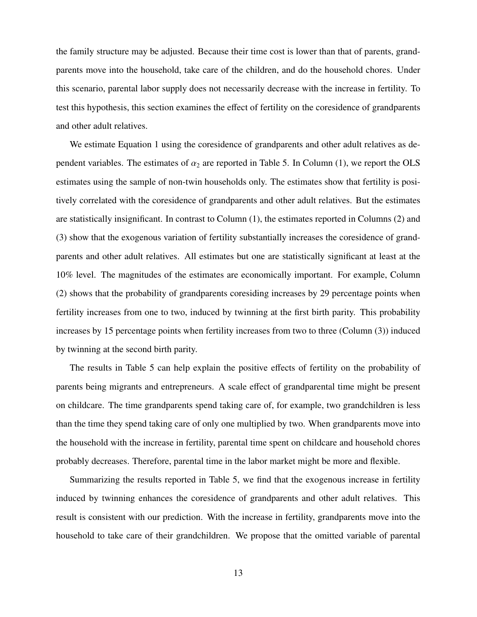the family structure may be adjusted. Because their time cost is lower than that of parents, grandparents move into the household, take care of the children, and do the household chores. Under this scenario, parental labor supply does not necessarily decrease with the increase in fertility. To test this hypothesis, this section examines the effect of fertility on the coresidence of grandparents and other adult relatives.

We estimate Equation 1 using the coresidence of grandparents and other adult relatives as dependent variables. The estimates of  $\alpha_2$  are reported in Table 5. In Column (1), we report the OLS estimates using the sample of non-twin households only. The estimates show that fertility is positively correlated with the coresidence of grandparents and other adult relatives. But the estimates are statistically insignificant. In contrast to Column (1), the estimates reported in Columns (2) and (3) show that the exogenous variation of fertility substantially increases the coresidence of grandparents and other adult relatives. All estimates but one are statistically significant at least at the 10% level. The magnitudes of the estimates are economically important. For example, Column (2) shows that the probability of grandparents coresiding increases by 29 percentage points when fertility increases from one to two, induced by twinning at the first birth parity. This probability increases by 15 percentage points when fertility increases from two to three (Column (3)) induced by twinning at the second birth parity.

The results in Table 5 can help explain the positive effects of fertility on the probability of parents being migrants and entrepreneurs. A scale effect of grandparental time might be present on childcare. The time grandparents spend taking care of, for example, two grandchildren is less than the time they spend taking care of only one multiplied by two. When grandparents move into the household with the increase in fertility, parental time spent on childcare and household chores probably decreases. Therefore, parental time in the labor market might be more and flexible.

Summarizing the results reported in Table 5, we find that the exogenous increase in fertility induced by twinning enhances the coresidence of grandparents and other adult relatives. This result is consistent with our prediction. With the increase in fertility, grandparents move into the household to take care of their grandchildren. We propose that the omitted variable of parental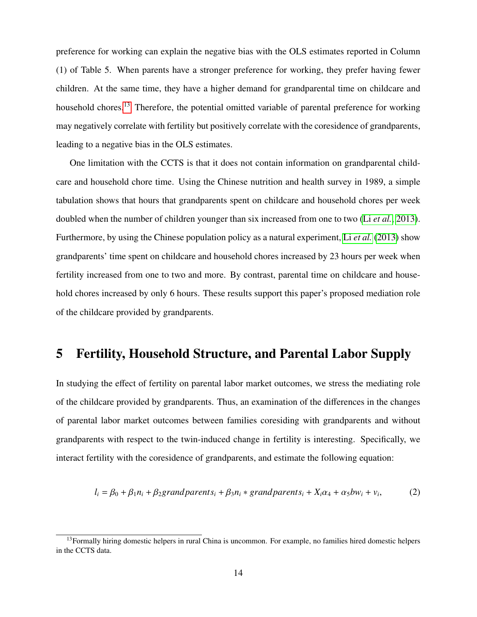preference for working can explain the negative bias with the OLS estimates reported in Column (1) of Table 5. When parents have a stronger preference for working, they prefer having fewer children. At the same time, they have a higher demand for grandparental time on childcare and household chores.<sup>[13](#page-16-0)</sup> Therefore, the potential omitted variable of parental preference for working may negatively correlate with fertility but positively correlate with the coresidence of grandparents, leading to a negative bias in the OLS estimates.

One limitation with the CCTS is that it does not contain information on grandparental childcare and household chore time. Using the Chinese nutrition and health survey in 1989, a simple tabulation shows that hours that grandparents spent on childcare and household chores per week doubled when the number of children younger than six increased from one to two (Li *[et al.](#page-23-9)*, [2013\)](#page-23-9). Furthermore, by using the Chinese population policy as a natural experiment, Li *[et al.](#page-23-9)* [\(2013\)](#page-23-9) show grandparents' time spent on childcare and household chores increased by 23 hours per week when fertility increased from one to two and more. By contrast, parental time on childcare and household chores increased by only 6 hours. These results support this paper's proposed mediation role of the childcare provided by grandparents.

# 5 Fertility, Household Structure, and Parental Labor Supply

In studying the effect of fertility on parental labor market outcomes, we stress the mediating role of the childcare provided by grandparents. Thus, an examination of the differences in the changes of parental labor market outcomes between families coresiding with grandparents and without grandparents with respect to the twin-induced change in fertility is interesting. Specifically, we interact fertility with the coresidence of grandparents, and estimate the following equation:

$$
l_i = \beta_0 + \beta_1 n_i + \beta_2 grand parents_i + \beta_3 n_i * grand parents_i + X_i \alpha_4 + \alpha_5 b w_i + v_i,
$$
 (2)

<span id="page-16-0"></span><sup>&</sup>lt;sup>13</sup>Formally hiring domestic helpers in rural China is uncommon. For example, no families hired domestic helpers in the CCTS data.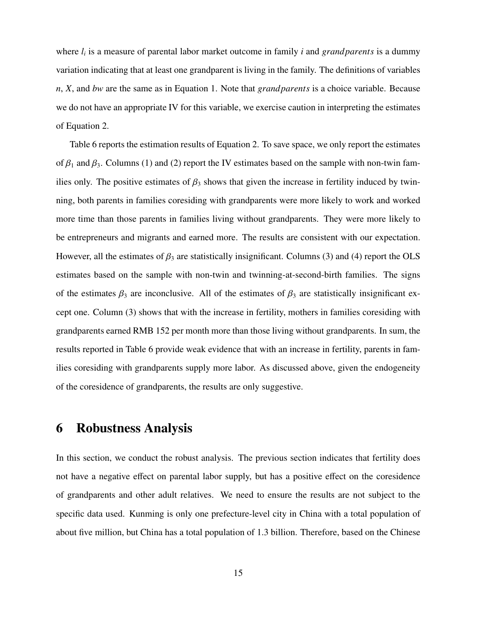where *l<sup>i</sup>* is a measure of parental labor market outcome in family *i* and *grand parents* is a dummy variation indicating that at least one grandparent is living in the family. The definitions of variables *n*, *X*, and *bw* are the same as in Equation 1. Note that *grand parents* is a choice variable. Because we do not have an appropriate IV for this variable, we exercise caution in interpreting the estimates of Equation 2.

Table 6 reports the estimation results of Equation 2. To save space, we only report the estimates of  $\beta_1$  and  $\beta_3$ . Columns (1) and (2) report the IV estimates based on the sample with non-twin families only. The positive estimates of  $\beta_3$  shows that given the increase in fertility induced by twinning, both parents in families coresiding with grandparents were more likely to work and worked more time than those parents in families living without grandparents. They were more likely to be entrepreneurs and migrants and earned more. The results are consistent with our expectation. However, all the estimates of  $\beta_3$  are statistically insignificant. Columns (3) and (4) report the OLS estimates based on the sample with non-twin and twinning-at-second-birth families. The signs of the estimates  $\beta_3$  are inconclusive. All of the estimates of  $\beta_3$  are statistically insignificant except one. Column (3) shows that with the increase in fertility, mothers in families coresiding with grandparents earned RMB 152 per month more than those living without grandparents. In sum, the results reported in Table 6 provide weak evidence that with an increase in fertility, parents in families coresiding with grandparents supply more labor. As discussed above, given the endogeneity of the coresidence of grandparents, the results are only suggestive.

### 6 Robustness Analysis

In this section, we conduct the robust analysis. The previous section indicates that fertility does not have a negative effect on parental labor supply, but has a positive effect on the coresidence of grandparents and other adult relatives. We need to ensure the results are not subject to the specific data used. Kunming is only one prefecture-level city in China with a total population of about five million, but China has a total population of 1.3 billion. Therefore, based on the Chinese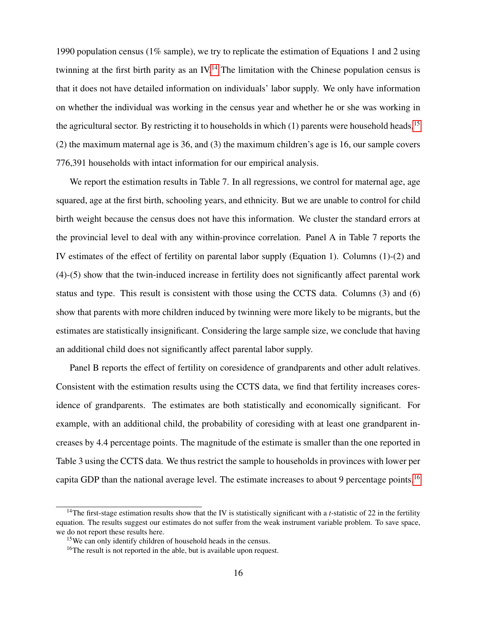1990 population census (1% sample), we try to replicate the estimation of Equations 1 and 2 using twinning at the first birth parity as an IV.<sup>[14](#page-18-0)</sup> The limitation with the Chinese population census is that it does not have detailed information on individuals' labor supply. We only have information on whether the individual was working in the census year and whether he or she was working in the agricultural sector. By restricting it to households in which  $(1)$  parents were household heads,<sup>[15](#page-18-1)</sup> (2) the maximum maternal age is 36, and (3) the maximum children's age is 16, our sample covers 776,391 households with intact information for our empirical analysis.

We report the estimation results in Table 7. In all regressions, we control for maternal age, age squared, age at the first birth, schooling years, and ethnicity. But we are unable to control for child birth weight because the census does not have this information. We cluster the standard errors at the provincial level to deal with any within-province correlation. Panel A in Table 7 reports the IV estimates of the effect of fertility on parental labor supply (Equation 1). Columns (1)-(2) and (4)-(5) show that the twin-induced increase in fertility does not significantly affect parental work status and type. This result is consistent with those using the CCTS data. Columns (3) and (6) show that parents with more children induced by twinning were more likely to be migrants, but the estimates are statistically insignificant. Considering the large sample size, we conclude that having an additional child does not significantly affect parental labor supply.

Panel B reports the effect of fertility on coresidence of grandparents and other adult relatives. Consistent with the estimation results using the CCTS data, we find that fertility increases coresidence of grandparents. The estimates are both statistically and economically significant. For example, with an additional child, the probability of coresiding with at least one grandparent increases by 4.4 percentage points. The magnitude of the estimate is smaller than the one reported in Table 3 using the CCTS data. We thus restrict the sample to households in provinces with lower per capita GDP than the national average level. The estimate increases to about 9 percentage points.[16](#page-18-2)

<span id="page-18-0"></span><sup>&</sup>lt;sup>14</sup>The first-stage estimation results show that the IV is statistically significant with a *t*-statistic of 22 in the fertility equation. The results suggest our estimates do not suffer from the weak instrument variable problem. To save space, we do not report these results here.

<span id="page-18-1"></span><sup>&</sup>lt;sup>15</sup>We can only identify children of household heads in the census.

<span id="page-18-2"></span><sup>&</sup>lt;sup>16</sup>The result is not reported in the able, but is available upon request.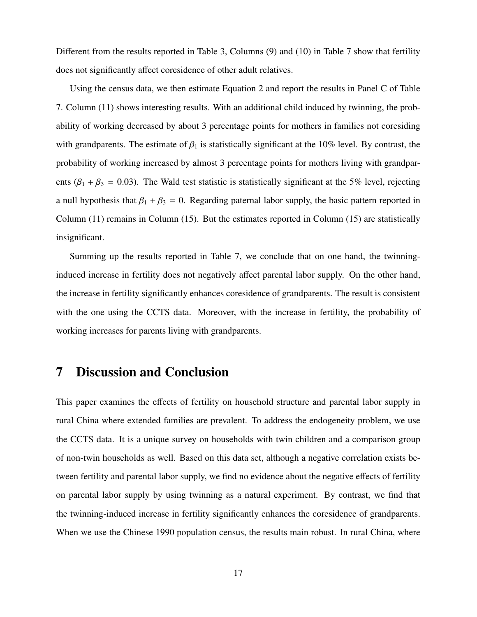Different from the results reported in Table 3, Columns (9) and (10) in Table 7 show that fertility does not significantly affect coresidence of other adult relatives.

Using the census data, we then estimate Equation 2 and report the results in Panel C of Table 7. Column (11) shows interesting results. With an additional child induced by twinning, the probability of working decreased by about 3 percentage points for mothers in families not coresiding with grandparents. The estimate of  $\beta_1$  is statistically significant at the 10% level. By contrast, the probability of working increased by almost 3 percentage points for mothers living with grandparents ( $\beta_1 + \beta_3 = 0.03$ ). The Wald test statistic is statistically significant at the 5% level, rejecting a null hypothesis that  $\beta_1 + \beta_3 = 0$ . Regarding paternal labor supply, the basic pattern reported in Column  $(11)$  remains in Column  $(15)$ . But the estimates reported in Column  $(15)$  are statistically insignificant.

Summing up the results reported in Table 7, we conclude that on one hand, the twinninginduced increase in fertility does not negatively affect parental labor supply. On the other hand, the increase in fertility significantly enhances coresidence of grandparents. The result is consistent with the one using the CCTS data. Moreover, with the increase in fertility, the probability of working increases for parents living with grandparents.

## 7 Discussion and Conclusion

This paper examines the effects of fertility on household structure and parental labor supply in rural China where extended families are prevalent. To address the endogeneity problem, we use the CCTS data. It is a unique survey on households with twin children and a comparison group of non-twin households as well. Based on this data set, although a negative correlation exists between fertility and parental labor supply, we find no evidence about the negative effects of fertility on parental labor supply by using twinning as a natural experiment. By contrast, we find that the twinning-induced increase in fertility significantly enhances the coresidence of grandparents. When we use the Chinese 1990 population census, the results main robust. In rural China, where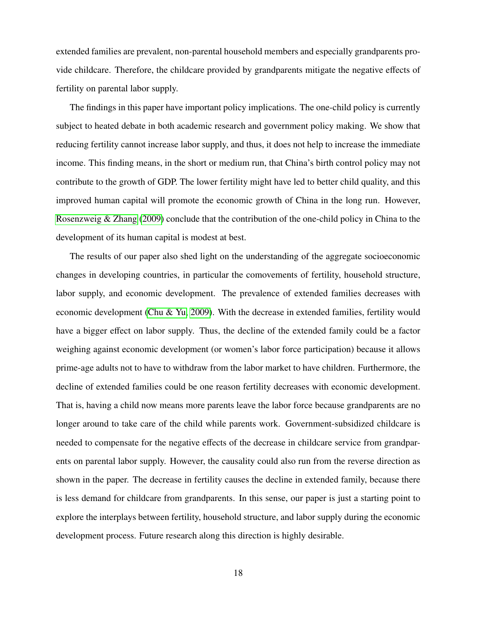extended families are prevalent, non-parental household members and especially grandparents provide childcare. Therefore, the childcare provided by grandparents mitigate the negative effects of fertility on parental labor supply.

The findings in this paper have important policy implications. The one-child policy is currently subject to heated debate in both academic research and government policy making. We show that reducing fertility cannot increase labor supply, and thus, it does not help to increase the immediate income. This finding means, in the short or medium run, that China's birth control policy may not contribute to the growth of GDP. The lower fertility might have led to better child quality, and this improved human capital will promote the economic growth of China in the long run. However, [Rosenzweig & Zhang](#page-23-6) [\(2009\)](#page-23-6) conclude that the contribution of the one-child policy in China to the development of its human capital is modest at best.

The results of our paper also shed light on the understanding of the aggregate socioeconomic changes in developing countries, in particular the comovements of fertility, household structure, labor supply, and economic development. The prevalence of extended families decreases with economic development [\(Chu & Yu, 2009\)](#page-22-5). With the decrease in extended families, fertility would have a bigger effect on labor supply. Thus, the decline of the extended family could be a factor weighing against economic development (or women's labor force participation) because it allows prime-age adults not to have to withdraw from the labor market to have children. Furthermore, the decline of extended families could be one reason fertility decreases with economic development. That is, having a child now means more parents leave the labor force because grandparents are no longer around to take care of the child while parents work. Government-subsidized childcare is needed to compensate for the negative effects of the decrease in childcare service from grandparents on parental labor supply. However, the causality could also run from the reverse direction as shown in the paper. The decrease in fertility causes the decline in extended family, because there is less demand for childcare from grandparents. In this sense, our paper is just a starting point to explore the interplays between fertility, household structure, and labor supply during the economic development process. Future research along this direction is highly desirable.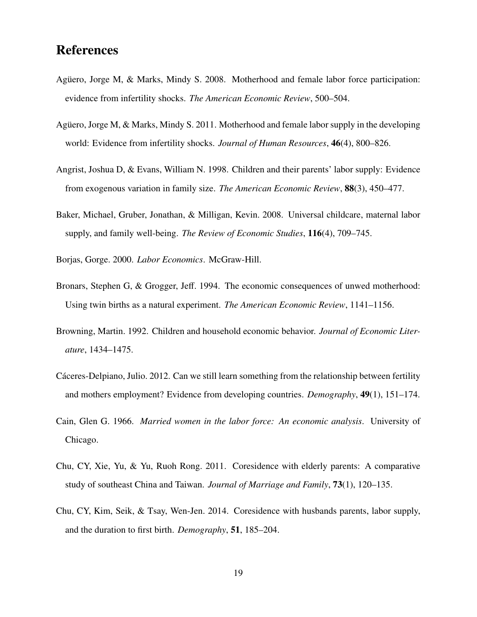# **References**

- <span id="page-21-2"></span>Aguero, Jorge M, & Marks, Mindy S. 2008. Motherhood and female labor force participation: evidence from infertility shocks. *The American Economic Review*, 500–504.
- <span id="page-21-3"></span>Aguero, Jorge M,  $\&$  Marks, Mindy S. 2011. Motherhood and female labor supply in the developing world: Evidence from infertility shocks. *Journal of Human Resources*, 46(4), 800–826.
- <span id="page-21-1"></span>Angrist, Joshua D, & Evans, William N. 1998. Children and their parents' labor supply: Evidence from exogenous variation in family size. *The American Economic Review*, 88(3), 450–477.
- <span id="page-21-10"></span>Baker, Michael, Gruber, Jonathan, & Milligan, Kevin. 2008. Universal childcare, maternal labor supply, and family well-being. *The Review of Economic Studies*, 116(4), 709–745.
- <span id="page-21-0"></span>Borjas, Gorge. 2000. *Labor Economics*. McGraw-Hill.
- <span id="page-21-9"></span>Bronars, Stephen G, & Grogger, Jeff. 1994. The economic consequences of unwed motherhood: Using twin births as a natural experiment. *The American Economic Review*, 1141–1156.
- <span id="page-21-7"></span>Browning, Martin. 1992. Children and household economic behavior. *Journal of Economic Literature*, 1434–1475.
- <span id="page-21-4"></span>Cáceres-Delpiano, Julio. 2012. Can we still learn something from the relationship between fertility and mothers employment? Evidence from developing countries. *Demography*, 49(1), 151–174.
- <span id="page-21-6"></span>Cain, Glen G. 1966. *Married women in the labor force: An economic analysis*. University of Chicago.
- <span id="page-21-5"></span>Chu, CY, Xie, Yu, & Yu, Ruoh Rong. 2011. Coresidence with elderly parents: A comparative study of southeast China and Taiwan. *Journal of Marriage and Family*, 73(1), 120–135.
- <span id="page-21-8"></span>Chu, CY, Kim, Seik, & Tsay, Wen-Jen. 2014. Coresidence with husbands parents, labor supply, and the duration to first birth. *Demography*, 51, 185–204.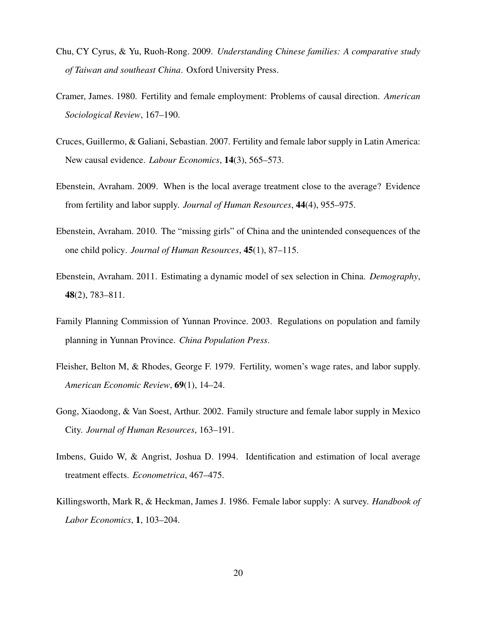- <span id="page-22-5"></span>Chu, CY Cyrus, & Yu, Ruoh-Rong. 2009. *Understanding Chinese families: A comparative study of Taiwan and southeast China*. Oxford University Press.
- <span id="page-22-3"></span>Cramer, James. 1980. Fertility and female employment: Problems of causal direction. *American Sociological Review*, 167–190.
- <span id="page-22-1"></span>Cruces, Guillermo, & Galiani, Sebastian. 2007. Fertility and female labor supply in Latin America: New causal evidence. *Labour Economics*, 14(3), 565–573.
- <span id="page-22-4"></span>Ebenstein, Avraham. 2009. When is the local average treatment close to the average? Evidence from fertility and labor supply. *Journal of Human Resources*, 44(4), 955–975.
- <span id="page-22-7"></span>Ebenstein, Avraham. 2010. The "missing girls" of China and the unintended consequences of the one child policy. *Journal of Human Resources*, 45(1), 87–115.
- <span id="page-22-8"></span>Ebenstein, Avraham. 2011. Estimating a dynamic model of sex selection in China. *Demography*, 48(2), 783–811.
- <span id="page-22-9"></span>Family Planning Commission of Yunnan Province. 2003. Regulations on population and family planning in Yunnan Province. *China Population Press*.
- <span id="page-22-2"></span>Fleisher, Belton M, & Rhodes, George F. 1979. Fertility, women's wage rates, and labor supply. *American Economic Review*, 69(1), 14–24.
- <span id="page-22-6"></span>Gong, Xiaodong, & Van Soest, Arthur. 2002. Family structure and female labor supply in Mexico City. *Journal of Human Resources*, 163–191.
- <span id="page-22-10"></span>Imbens, Guido W, & Angrist, Joshua D. 1994. Identification and estimation of local average treatment effects. *Econometrica*, 467–475.
- <span id="page-22-0"></span>Killingsworth, Mark R, & Heckman, James J. 1986. Female labor supply: A survey. *Handbook of Labor Economics*, 1, 103–204.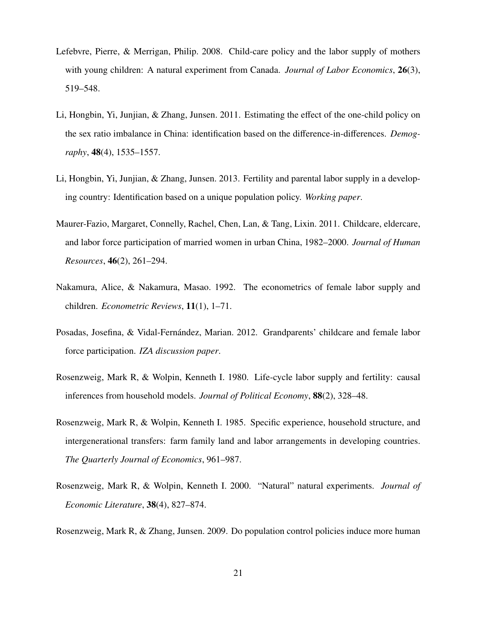- <span id="page-23-5"></span>Lefebvre, Pierre, & Merrigan, Philip. 2008. Child-care policy and the labor supply of mothers with young children: A natural experiment from Canada. *Journal of Labor Economics*, 26(3), 519–548.
- <span id="page-23-7"></span>Li, Hongbin, Yi, Junjian, & Zhang, Junsen. 2011. Estimating the effect of the one-child policy on the sex ratio imbalance in China: identification based on the difference-in-differences. *Demography*, 48(4), 1535–1557.
- <span id="page-23-9"></span>Li, Hongbin, Yi, Junjian, & Zhang, Junsen. 2013. Fertility and parental labor supply in a developing country: Identification based on a unique population policy. *Working paper*.
- <span id="page-23-3"></span>Maurer-Fazio, Margaret, Connelly, Rachel, Chen, Lan, & Tang, Lixin. 2011. Childcare, eldercare, and labor force participation of married women in urban China, 1982–2000. *Journal of Human Resources*, 46(2), 261–294.
- <span id="page-23-2"></span>Nakamura, Alice, & Nakamura, Masao. 1992. The econometrics of female labor supply and children. *Econometric Reviews*, 11(1), 1–71.
- <span id="page-23-4"></span>Posadas, Josefina, & Vidal-Fernández, Marian. 2012. Grandparents' childcare and female labor force participation. *IZA discussion paper*.
- <span id="page-23-1"></span>Rosenzweig, Mark R, & Wolpin, Kenneth I. 1980. Life-cycle labor supply and fertility: causal inferences from household models. *Journal of Political Economy*, 88(2), 328–48.
- <span id="page-23-0"></span>Rosenzweig, Mark R, & Wolpin, Kenneth I. 1985. Specific experience, household structure, and intergenerational transfers: farm family land and labor arrangements in developing countries. *The Quarterly Journal of Economics*, 961–987.
- <span id="page-23-8"></span>Rosenzweig, Mark R, & Wolpin, Kenneth I. 2000. "Natural" natural experiments. *Journal of Economic Literature*, 38(4), 827–874.

<span id="page-23-6"></span>Rosenzweig, Mark R, & Zhang, Junsen. 2009. Do population control policies induce more human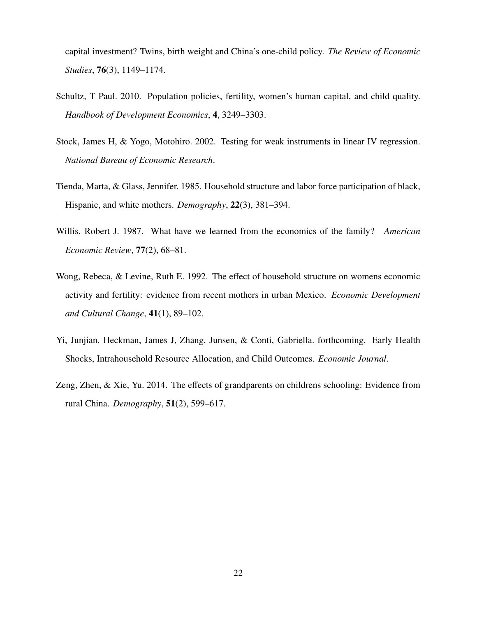capital investment? Twins, birth weight and China's one-child policy. *The Review of Economic Studies*, 76(3), 1149–1174.

- <span id="page-24-2"></span>Schultz, T Paul. 2010. Population policies, fertility, women's human capital, and child quality. *Handbook of Development Economics*, 4, 3249–3303.
- <span id="page-24-6"></span>Stock, James H, & Yogo, Motohiro. 2002. Testing for weak instruments in linear IV regression. *National Bureau of Economic Research*.
- <span id="page-24-3"></span>Tienda, Marta, & Glass, Jennifer. 1985. Household structure and labor force participation of black, Hispanic, and white mothers. *Demography*, 22(3), 381–394.
- <span id="page-24-0"></span>Willis, Robert J. 1987. What have we learned from the economics of the family? *American Economic Review*, 77(2), 68–81.
- <span id="page-24-4"></span>Wong, Rebeca, & Levine, Ruth E. 1992. The effect of household structure on womens economic activity and fertility: evidence from recent mothers in urban Mexico. *Economic Development and Cultural Change*, 41(1), 89–102.
- <span id="page-24-5"></span>Yi, Junjian, Heckman, James J, Zhang, Junsen, & Conti, Gabriella. forthcoming. Early Health Shocks, Intrahousehold Resource Allocation, and Child Outcomes. *Economic Journal*.
- <span id="page-24-1"></span>Zeng, Zhen, & Xie, Yu. 2014. The effects of grandparents on childrens schooling: Evidence from rural China. *Demography*, 51(2), 599–617.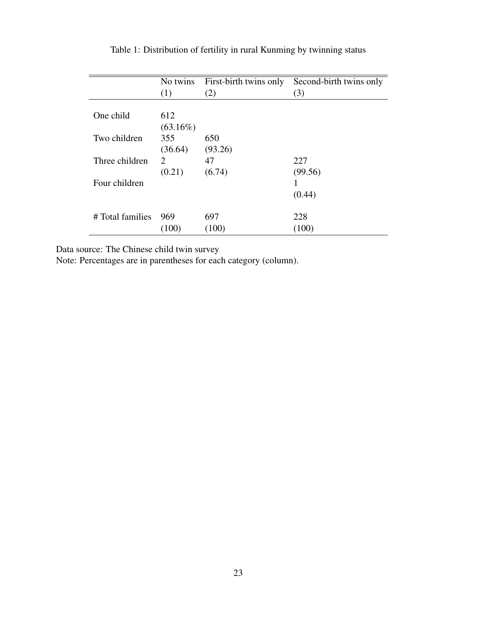|                  | No twins    | First-birth twins only | Second-birth twins only |
|------------------|-------------|------------------------|-------------------------|
|                  | (1)         | (2)                    | (3)                     |
|                  |             |                        |                         |
| One child        | 612         |                        |                         |
|                  | $(63.16\%)$ |                        |                         |
| Two children     | 355         | 650                    |                         |
|                  | (36.64)     | (93.26)                |                         |
| Three children   | 2           | 47                     | 227                     |
|                  | (0.21)      | (6.74)                 | (99.56)                 |
| Four children    |             |                        |                         |
|                  |             |                        | (0.44)                  |
| # Total families | 969         | 697                    | 228                     |
|                  | (100)       | (100)                  | (100)                   |

Table 1: Distribution of fertility in rural Kunming by twinning status

Data source: The Chinese child twin survey

Note: Percentages are in parentheses for each category (column).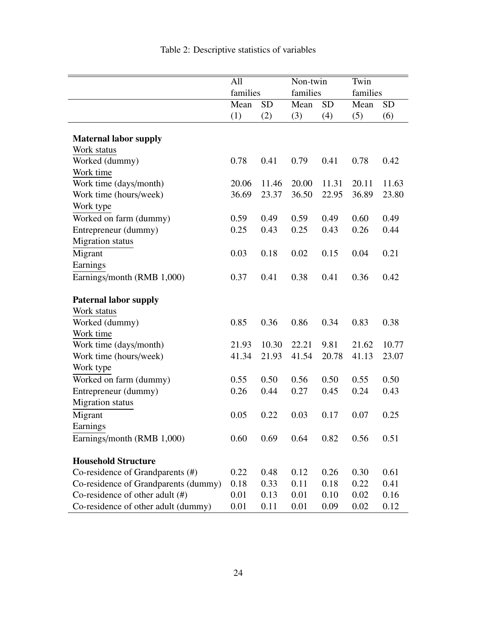|                                      | All<br>families |           |       | Non-twin<br>families |       | families  |
|--------------------------------------|-----------------|-----------|-------|----------------------|-------|-----------|
|                                      | Mean            | <b>SD</b> | Mean  | <b>SD</b>            | Mean  | <b>SD</b> |
|                                      | (1)             | (2)       | (3)   | (4)                  | (5)   | (6)       |
| <b>Maternal labor supply</b>         |                 |           |       |                      |       |           |
| Work status                          |                 |           |       |                      |       |           |
| Worked (dummy)                       | 0.78            | 0.41      | 0.79  | 0.41                 | 0.78  | 0.42      |
| Work time                            |                 |           |       |                      |       |           |
| Work time (days/month)               | 20.06           | 11.46     | 20.00 | 11.31                | 20.11 | 11.63     |
| Work time (hours/week)               | 36.69           | 23.37     | 36.50 | 22.95                | 36.89 | 23.80     |
| Work type                            |                 |           |       |                      |       |           |
| Worked on farm (dummy)               | 0.59            | 0.49      | 0.59  | 0.49                 | 0.60  | 0.49      |
| Entrepreneur (dummy)                 | 0.25            | 0.43      | 0.25  | 0.43                 | 0.26  | 0.44      |
| Migration status                     |                 |           |       |                      |       |           |
| Migrant                              | 0.03            | 0.18      | 0.02  | 0.15                 | 0.04  | 0.21      |
| Earnings                             |                 |           |       |                      |       |           |
| Earnings/month (RMB 1,000)           | 0.37            | 0.41      | 0.38  | 0.41                 | 0.36  | 0.42      |
| <b>Paternal labor supply</b>         |                 |           |       |                      |       |           |
| Work status                          |                 |           |       |                      |       |           |
| Worked (dummy)                       | 0.85            | 0.36      | 0.86  | 0.34                 | 0.83  | 0.38      |
| Work time                            |                 |           |       |                      |       |           |
| Work time (days/month)               | 21.93           | 10.30     | 22.21 | 9.81                 | 21.62 | 10.77     |
| Work time (hours/week)               | 41.34           | 21.93     | 41.54 | 20.78                | 41.13 | 23.07     |
| Work type                            |                 |           |       |                      |       |           |
| Worked on farm (dummy)               | 0.55            | 0.50      | 0.56  | 0.50                 | 0.55  | 0.50      |
| Entrepreneur (dummy)                 | 0.26            | 0.44      | 0.27  | 0.45                 | 0.24  | 0.43      |
| <b>Migration</b> status              |                 |           |       |                      |       |           |
| Migrant                              | 0.05            | 0.22      | 0.03  | 0.17                 | 0.07  | 0.25      |
| Earnings                             |                 |           |       |                      |       |           |
| Earnings/month (RMB 1,000)           | 0.60            | 0.69      | 0.64  | 0.82                 | 0.56  | 0.51      |
| <b>Household Structure</b>           |                 |           |       |                      |       |           |
| Co-residence of Grandparents (#)     | 0.22            | 0.48      | 0.12  | 0.26                 | 0.30  | 0.61      |
| Co-residence of Grandparents (dummy) | 0.18            | 0.33      | 0.11  | 0.18                 | 0.22  | 0.41      |
| Co-residence of other adult $(\#)$   | 0.01            | 0.13      | 0.01  | 0.10                 | 0.02  | 0.16      |
| Co-residence of other adult (dummy)  | 0.01            | 0.11      | 0.01  | 0.09                 | 0.02  | 0.12      |

Table 2: Descriptive statistics of variables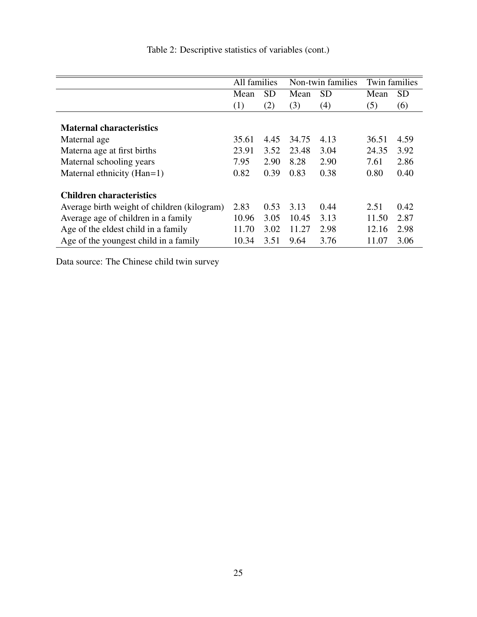|                                             | All families | Non-twin families |       | <b>Twin families</b> |       |           |
|---------------------------------------------|--------------|-------------------|-------|----------------------|-------|-----------|
|                                             | Mean         | <b>SD</b>         | Mean  | <b>SD</b>            | Mean  | <b>SD</b> |
|                                             | (1)          | (2)               | (3)   | (4)                  | (5)   | (6)       |
| <b>Maternal characteristics</b>             |              |                   |       |                      |       |           |
| Maternal age                                | 35.61        | 4.45              | 34.75 | 4.13                 | 36.51 | 4.59      |
| Materna age at first births                 | 23.91        | 3.52              | 23.48 | 3.04                 | 24.35 | 3.92      |
| Maternal schooling years                    | 7.95         | 2.90              | 8.28  | 2.90                 | 7.61  | 2.86      |
| Maternal ethnicity (Han=1)                  | 0.82         | 0.39              | 0.83  | 0.38                 | 0.80  | 0.40      |
| <b>Children characteristics</b>             |              |                   |       |                      |       |           |
| Average birth weight of children (kilogram) | 2.83         | 0.53              | 3.13  | 0.44                 | 2.51  | 0.42      |
| Average age of children in a family         | 10.96        | 3.05              | 10.45 | 3.13                 | 11.50 | 2.87      |
| Age of the eldest child in a family         | 11.70        | 3.02              | 11.27 | 2.98                 | 12.16 | 2.98      |
| Age of the youngest child in a family       | 10.34        | 3.51              | 9.64  | 3.76                 | 11.07 | 3.06      |

Table 2: Descriptive statistics of variables (cont.)

Data source: The Chinese child twin survey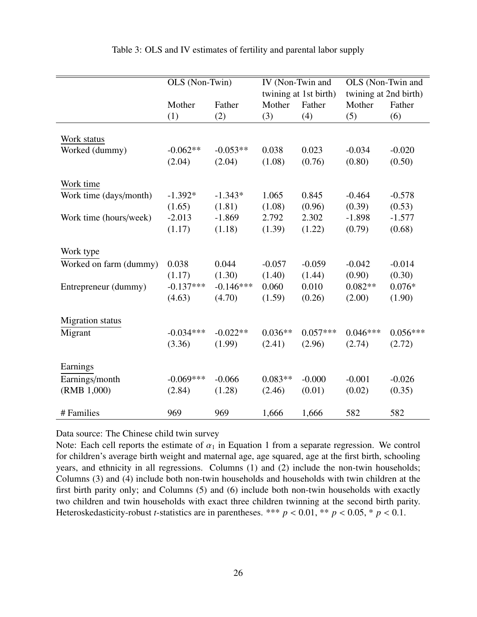|                         | OLS (Non-Twin) |             |           | IV (Non-Twin and<br>twining at 1st birth) | OLS (Non-Twin and<br>twining at 2nd birth) |            |  |
|-------------------------|----------------|-------------|-----------|-------------------------------------------|--------------------------------------------|------------|--|
|                         | Mother         | Father      | Mother    | Father                                    | Mother                                     | Father     |  |
|                         | (1)            | (2)         | (3)       | (4)                                       | (5)                                        | (6)        |  |
|                         |                |             |           |                                           |                                            |            |  |
| Work status             |                |             |           |                                           |                                            |            |  |
| Worked (dummy)          | $-0.062**$     | $-0.053**$  | 0.038     | 0.023                                     | $-0.034$                                   | $-0.020$   |  |
|                         | (2.04)         | (2.04)      | (1.08)    | (0.76)                                    | (0.80)                                     | (0.50)     |  |
| Work time               |                |             |           |                                           |                                            |            |  |
| Work time (days/month)  | $-1.392*$      | $-1.343*$   | 1.065     | 0.845                                     | $-0.464$                                   | $-0.578$   |  |
|                         | (1.65)         | (1.81)      | (1.08)    | (0.96)                                    | (0.39)                                     | (0.53)     |  |
| Work time (hours/week)  | $-2.013$       | $-1.869$    | 2.792     | 2.302                                     | $-1.898$                                   | $-1.577$   |  |
|                         | (1.17)         | (1.18)      | (1.39)    | (1.22)                                    | (0.79)                                     | (0.68)     |  |
|                         |                |             |           |                                           |                                            |            |  |
| Work type               |                |             |           |                                           |                                            |            |  |
| Worked on farm (dummy)  | 0.038          | 0.044       | $-0.057$  | $-0.059$                                  | $-0.042$                                   | $-0.014$   |  |
|                         | (1.17)         | (1.30)      | (1.40)    | (1.44)                                    | (0.90)                                     | (0.30)     |  |
| Entrepreneur (dummy)    | $-0.137***$    | $-0.146***$ | 0.060     | 0.010                                     | $0.082**$                                  | $0.076*$   |  |
|                         | (4.63)         | (4.70)      | (1.59)    | (0.26)                                    | (2.00)                                     | (1.90)     |  |
|                         |                |             |           |                                           |                                            |            |  |
| <b>Migration</b> status |                |             |           |                                           |                                            |            |  |
| Migrant                 | $-0.034***$    | $-0.022**$  | $0.036**$ | $0.057***$                                | $0.046***$                                 | $0.056***$ |  |
|                         | (3.36)         | (1.99)      | (2.41)    | (2.96)                                    | (2.74)                                     | (2.72)     |  |
|                         |                |             |           |                                           |                                            |            |  |
| Earnings                |                |             |           |                                           |                                            |            |  |
| Earnings/month          | $-0.069***$    | $-0.066$    | $0.083**$ | $-0.000$                                  | $-0.001$                                   | $-0.026$   |  |
| (RMB 1,000)             | (2.84)         | (1.28)      | (2.46)    | (0.01)                                    | (0.02)                                     | (0.35)     |  |
|                         |                |             |           |                                           |                                            |            |  |
| # Families              | 969            | 969         | 1,666     | 1,666                                     | 582                                        | 582        |  |

#### Table 3: OLS and IV estimates of fertility and parental labor supply

Data source: The Chinese child twin survey

Note: Each cell reports the estimate of  $\alpha_1$  in Equation 1 from a separate regression. We control for children's average birth weight and maternal age, age squared, age at the first birth, schooling years, and ethnicity in all regressions. Columns (1) and (2) include the non-twin households; Columns (3) and (4) include both non-twin households and households with twin children at the first birth parity only; and Columns (5) and (6) include both non-twin households with exactly two children and twin households with exact three children twinning at the second birth parity. Heteroskedasticity-robust *t*-statistics are in parentheses. \*\*\*  $p < 0.01$ , \*\*  $p < 0.05$ , \*  $p < 0.1$ .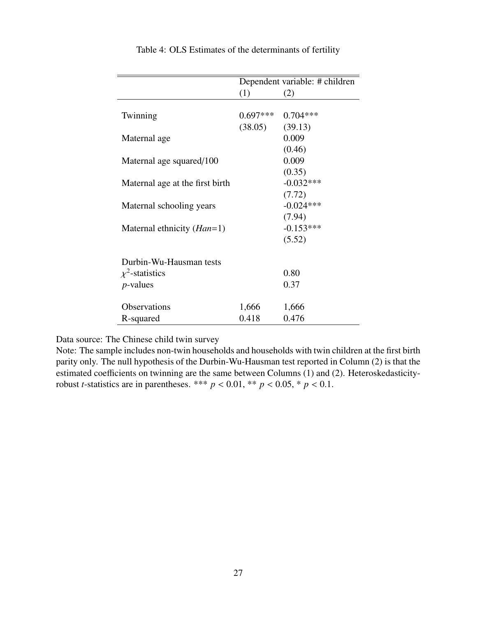|                                 | Dependent variable: # children |             |  |  |  |
|---------------------------------|--------------------------------|-------------|--|--|--|
|                                 | (1)                            | (2)         |  |  |  |
|                                 |                                |             |  |  |  |
| Twinning                        | $0.697***$                     | $0.704***$  |  |  |  |
|                                 | $(38.05)$ $(39.13)$            |             |  |  |  |
| Maternal age                    |                                | 0.009       |  |  |  |
|                                 |                                | (0.46)      |  |  |  |
| Maternal age squared/100        |                                | 0.009       |  |  |  |
|                                 |                                | (0.35)      |  |  |  |
| Maternal age at the first birth |                                | $-0.032***$ |  |  |  |
|                                 |                                | (7.72)      |  |  |  |
| Maternal schooling years        |                                | $-0.024***$ |  |  |  |
|                                 |                                | (7.94)      |  |  |  |
| Maternal ethnicity $(Han=1)$    |                                | $-0.153***$ |  |  |  |
|                                 |                                | (5.52)      |  |  |  |
|                                 |                                |             |  |  |  |
| Durbin-Wu-Hausman tests         |                                |             |  |  |  |
| $\chi^2$ -statistics            |                                | 0.80        |  |  |  |
| $p$ -values                     |                                | 0.37        |  |  |  |
|                                 |                                |             |  |  |  |
| Observations                    | 1,666                          | 1,666       |  |  |  |
| R-squared                       | 0.418                          | 0.476       |  |  |  |

Table 4: OLS Estimates of the determinants of fertility

Data source: The Chinese child twin survey

Note: The sample includes non-twin households and households with twin children at the first birth parity only. The null hypothesis of the Durbin-Wu-Hausman test reported in Column (2) is that the estimated coefficients on twinning are the same between Columns (1) and (2). Heteroskedasticityrobust *t*-statistics are in parentheses. \*\*\*  $p < 0.01$ , \*\*  $p < 0.05$ , \*  $p < 0.1$ .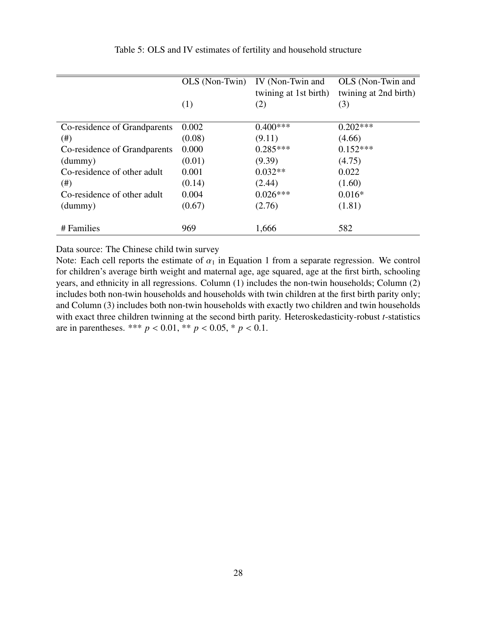|                              | OLS (Non-Twin) | IV (Non-Twin and<br>twining at 1st birth) | OLS (Non-Twin and<br>twining at 2nd birth) |
|------------------------------|----------------|-------------------------------------------|--------------------------------------------|
|                              | (1)            | (2)                                       | (3)                                        |
| Co-residence of Grandparents | 0.002          | $0.400***$                                | $0.202***$                                 |
| (# )                         | (0.08)         | (9.11)                                    | (4.66)                                     |
| Co-residence of Grandparents | 0.000          | $0.285***$                                | $0.152***$                                 |
| (dummy)                      | (0.01)         | (9.39)                                    | (4.75)                                     |
| Co-residence of other adult  | 0.001          | $0.032**$                                 | 0.022                                      |
| $(\#)$                       | (0.14)         | (2.44)                                    | (1.60)                                     |
| Co-residence of other adult  | 0.004          | $0.026***$                                | $0.016*$                                   |
| (dummy)                      | (0.67)         | (2.76)                                    | (1.81)                                     |
| # Families                   | 969            | 1,666                                     | 582                                        |

#### Table 5: OLS and IV estimates of fertility and household structure

Data source: The Chinese child twin survey

Note: Each cell reports the estimate of  $\alpha_1$  in Equation 1 from a separate regression. We control for children's average birth weight and maternal age, age squared, age at the first birth, schooling years, and ethnicity in all regressions. Column (1) includes the non-twin households; Column (2) includes both non-twin households and households with twin children at the first birth parity only; and Column (3) includes both non-twin households with exactly two children and twin households with exact three children twinning at the second birth parity. Heteroskedasticity-robust *t*-statistics are in parentheses. \*\*\*  $p < 0.01$ , \*\*  $p < 0.05$ , \*  $p < 0.1$ .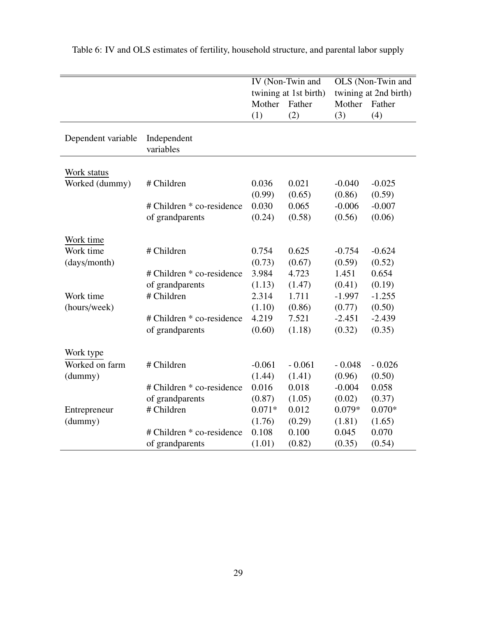|                    |                                              | Mother<br>(1)   | IV (Non-Twin and<br>twining at 1st birth)<br>Father<br>(2) | Mother<br>(3)      | OLS (Non-Twin and<br>twining at 2nd birth)<br>Father<br>(4) |
|--------------------|----------------------------------------------|-----------------|------------------------------------------------------------|--------------------|-------------------------------------------------------------|
| Dependent variable | Independent<br>variables                     |                 |                                                            |                    |                                                             |
| Work status        |                                              |                 |                                                            |                    |                                                             |
| Worked (dummy)     | # Children                                   | 0.036<br>(0.99) | 0.021<br>(0.65)                                            | $-0.040$<br>(0.86) | $-0.025$<br>(0.59)                                          |
|                    | # Children * co-residence<br>of grandparents | 0.030<br>(0.24) | 0.065<br>(0.58)                                            | $-0.006$<br>(0.56) | $-0.007$<br>(0.06)                                          |
| Work time          |                                              |                 |                                                            |                    |                                                             |
| Work time          | # Children                                   | 0.754           | 0.625                                                      | $-0.754$           | $-0.624$                                                    |
| (days/month)       |                                              | (0.73)          | (0.67)                                                     | (0.59)             | (0.52)                                                      |
|                    | # Children * co-residence                    | 3.984           | 4.723                                                      | 1.451              | 0.654                                                       |
|                    | of grandparents                              | (1.13)          | (1.47)                                                     | (0.41)             | (0.19)                                                      |
| Work time          | # Children                                   | 2.314           | 1.711                                                      | $-1.997$           | $-1.255$                                                    |
| (hours/week)       |                                              | (1.10)          | (0.86)                                                     | (0.77)             | (0.50)                                                      |
|                    | # Children * co-residence                    | 4.219           | 7.521                                                      | $-2.451$           | $-2.439$                                                    |
|                    | of grandparents                              | (0.60)          | (1.18)                                                     | (0.32)             | (0.35)                                                      |
| Work type          |                                              |                 |                                                            |                    |                                                             |
| Worked on farm     | # Children                                   | $-0.061$        | $-0.061$                                                   | $-0.048$           | $-0.026$                                                    |
| (dummy)            |                                              | (1.44)          | (1.41)                                                     | (0.96)             | (0.50)                                                      |
|                    | # Children * co-residence                    | 0.016           | 0.018                                                      | $-0.004$           | 0.058                                                       |
|                    | of grandparents                              | (0.87)          | (1.05)                                                     | (0.02)             | (0.37)                                                      |
| Entrepreneur       | # Children                                   | $0.071*$        | 0.012                                                      | $0.079*$           | $0.070*$                                                    |
| (dummy)            |                                              | (1.76)          | (0.29)                                                     | (1.81)             | (1.65)                                                      |
|                    | # Children * co-residence                    | 0.108           | 0.100                                                      | 0.045              | 0.070                                                       |
|                    | of grandparents                              | (1.01)          | (0.82)                                                     | (0.35)             | (0.54)                                                      |

Table 6: IV and OLS estimates of fertility, household structure, and parental labor supply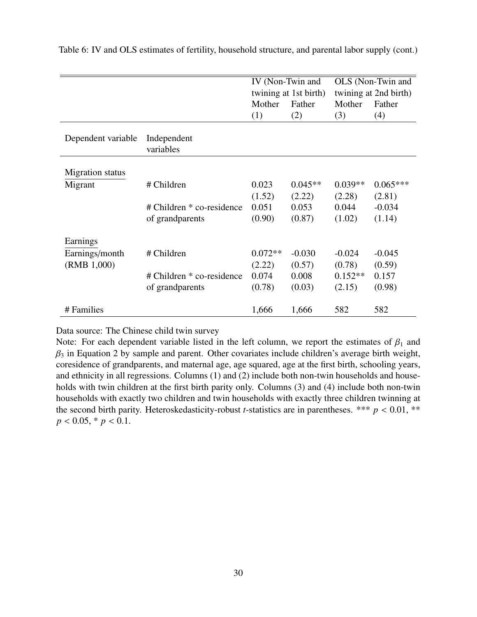|                         |                           | IV (Non-Twin and<br>twining at 1st birth) |           |           | OLS (Non-Twin and<br>twining at 2nd birth) |
|-------------------------|---------------------------|-------------------------------------------|-----------|-----------|--------------------------------------------|
|                         |                           | Mother                                    | Father    | Mother    | Father                                     |
|                         |                           | (1)                                       | (2)       | (3)       | (4)                                        |
|                         |                           |                                           |           |           |                                            |
| Dependent variable      | Independent               |                                           |           |           |                                            |
|                         | variables                 |                                           |           |           |                                            |
|                         |                           |                                           |           |           |                                            |
| <b>Migration</b> status |                           |                                           |           |           |                                            |
| Migrant                 | # Children                | 0.023                                     | $0.045**$ | $0.039**$ | $0.065***$                                 |
|                         |                           | (1.52)                                    | (2.22)    | (2.28)    | (2.81)                                     |
|                         | # Children * co-residence | 0.051                                     | 0.053     | 0.044     | $-0.034$                                   |
|                         | of grandparents           | (0.90)                                    | (0.87)    | (1.02)    | (1.14)                                     |
|                         |                           |                                           |           |           |                                            |
| Earnings                |                           |                                           |           |           |                                            |
| Earnings/month          | # Children                | $0.072**$                                 | $-0.030$  | $-0.024$  | $-0.045$                                   |
| (RMB 1,000)             |                           | (2.22)                                    | (0.57)    | (0.78)    | (0.59)                                     |
|                         | # Children * co-residence | 0.074                                     | 0.008     | $0.152**$ | 0.157                                      |
|                         | of grandparents           | (0.78)                                    | (0.03)    | (2.15)    | (0.98)                                     |
|                         |                           |                                           |           |           |                                            |
| # Families              |                           | 1,666                                     | 1,666     | 582       | 582                                        |

Table 6: IV and OLS estimates of fertility, household structure, and parental labor supply (cont.)

Data source: The Chinese child twin survey

Note: For each dependent variable listed in the left column, we report the estimates of  $\beta_1$  and  $\beta_3$  in Equation 2 by sample and parent. Other covariates include children's average birth weight, coresidence of grandparents, and maternal age, age squared, age at the first birth, schooling years, and ethnicity in all regressions. Columns (1) and (2) include both non-twin households and households with twin children at the first birth parity only. Columns (3) and (4) include both non-twin households with exactly two children and twin households with exactly three children twinning at the second birth parity. Heteroskedasticity-robust *t*-statistics are in parentheses. \*\*\*  $p < 0.01$ , \*\*  $p < 0.05$ ,  $\frac{*}{p} < 0.1$ .